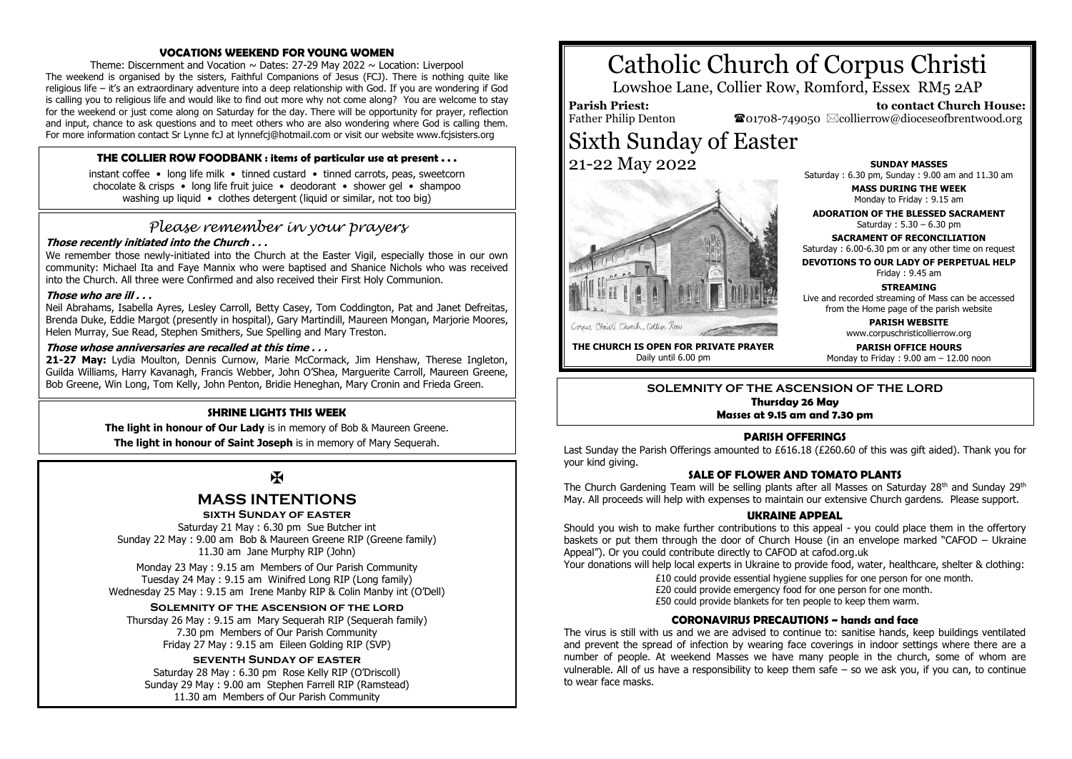## **VOCATIONS WEEKEND FOR YOUNG WOMEN**

Theme: Discernment and Vocation  $\sim$  Dates: 27-29 May 2022  $\sim$  Location: Liverpool The weekend is organised by the sisters, Faithful Companions of Jesus (FCJ). There is nothing quite like religious life – it's an extraordinary adventure into a deep relationship with God. If you are wondering if God is calling you to religious life and would like to find out more why not come along? You are welcome to stay for the weekend or just come along on Saturday for the day. There will be opportunity for prayer, reflection and input, chance to ask questions and to meet others who are also wondering where God is calling them. For more information contact Sr Lynne fcJ at lynnefcj@hotmail.com or visit our website www.fcjsisters.org

# **THE COLLIER ROW FOODBANK : items of particular use at present . . .**

instant coffee • long life milk • tinned custard • tinned carrots, peas, sweetcorn chocolate & crisps • long life fruit juice • deodorant • shower gel • shampoo washing up liquid • clothes detergent (liquid or similar, not too big)

# *Please remember in your prayers*

# **Those recently initiated into the Church . . .**

We remember those newly-initiated into the Church at the Easter Vigil, especially those in our own community: Michael Ita and Faye Mannix who were baptised and Shanice Nichols who was received into the Church. All three were Confirmed and also received their First Holy Communion.

### **Those who are ill . . .**

Neil Abrahams, Isabella Ayres, Lesley Carroll, Betty Casey, Tom Coddington, Pat and Janet Defreitas, Brenda Duke, Eddie Margot (presently in hospital), Gary Martindill, Maureen Mongan, Marjorie Moores, Helen Murray, Sue Read, Stephen Smithers, Sue Spelling and Mary Treston.

### **Those whose anniversaries are recalled at this time . . .**

21-27 May: Lydia Moulton, Dennis Curnow, Marie McCormack, Jim Henshaw, Therese Ingleton, Guilda Williams, Harry Kavanagh, Francis Webber, John O'Shea, Marguerite Carroll, Maureen Greene, Bob Greene, Win Long, Tom Kelly, John Penton, Bridie Heneghan, Mary Cronin and Frieda Green.

# **SHRINE LIGHTS THIS WEEK**

**The light in honour of Our Lady** is in memory of Bob & Maureen Greene. **The light in honour of Saint Joseph** is in memory of Mary Sequerah.

 $\mathbf K$ 

# **MASS INTENTIONS**

# **sixth Sunday of easter**

Saturday 21 May : 6.30 pm Sue Butcher int Sunday 22 May : 9.00 am Bob & Maureen Greene RIP (Greene family) 11.30 am Jane Murphy RIP (John)

Monday 23 May : 9.15 am Members of Our Parish Community Tuesday 24 May : 9.15 am Winifred Long RIP (Long family) Wednesday 25 May : 9.15 am Irene Manby RIP & Colin Manby int (O'Dell)

### **Solemnity of the ascension of the lord**

Thursday 26 May : 9.15 am Mary Sequerah RIP (Sequerah family) 7.30 pm Members of Our Parish Community Friday 27 May : 9.15 am Eileen Golding RIP (SVP)

# **seventh Sunday of easter**

Saturday 28 May : 6.30 pm Rose Kelly RIP (O'Driscoll) Sunday 29 May : 9.00 am Stephen Farrell RIP (Ramstead) 11.30 am Members of Our Parish Community

# Catholic Church of Corpus Christi

Lowshoe Lane, Collier Row, Romford, Essex RM5 2AP

# **Parish Priest:**

Father Philip Denton  $\bullet$ 01708-749050  $\boxtimes$ collierrow@dioceseofbrentwood.org Sixth Sunday of Easter 21-22 May 2022



**SUNDAY MASSES** Saturday : 6.30 pm, Sunday : 9.00 am and 11.30 am

> **MASS DURING THE WEEK** Monday to Friday : 9.15 am

 **to contact Church House:**

**ADORATION OF THE BLESSED SACRAMENT** Saturday : 5.30 – 6.30 pm

**SACRAMENT OF RECONCILIATION** Saturday : 6.00-6.30 pm or any other time on request

**DEVOTIONS TO OUR LADY OF PERPETUAL HELP**

Friday : 9.45 am

**STREAMING** Live and recorded streaming of Mass can be accessed from the Home page of the parish website

> **PARISH WEBSITE** www.corpuschristicollierrow.org

**THE CHURCH IS OPEN FOR PRIVATE PRAYER** Daily until 6.00 pm

**PARISH OFFICE HOURS** Monday to Friday : 9.00 am – 12.00 noon

**SOLEMNITY OF THE ASCENSION OF THE LORD Thursday 26 May Masses at 9.15 am and 7.30 pm**

# **PARISH OFFERINGS**

Last Sunday the Parish Offerings amounted to £616.18 (£260.60 of this was gift aided). Thank you for your kind giving.

# **SALE OF FLOWER AND TOMATO PLANTS**

The Church Gardening Team will be selling plants after all Masses on Saturday  $28<sup>th</sup>$  and Sunday  $29<sup>th</sup>$ May. All proceeds will help with expenses to maintain our extensive Church gardens. Please support.

#### **UKRAINE APPEAL**

Should you wish to make further contributions to this appeal - you could place them in the offertory baskets or put them through the door of Church House (in an envelope marked "CAFOD – Ukraine Appeal"). Or you could contribute directly to CAFOD at cafod.org.uk

Your donations will help local experts in Ukraine to provide food, water, healthcare, shelter & clothing:

£10 could provide essential hygiene supplies for one person for one month.

£20 could provide emergency food for one person for one month.

£50 could provide blankets for ten people to keep them warm.

# **CORONAVIRUS PRECAUTIONS ~ hands and face**

The virus is still with us and we are advised to continue to: sanitise hands, keep buildings ventilated and prevent the spread of infection by wearing face coverings in indoor settings where there are a number of people. At weekend Masses we have many people in the church, some of whom are vulnerable. All of us have a responsibility to keep them safe – so we ask you, if you can, to continue to wear face masks.